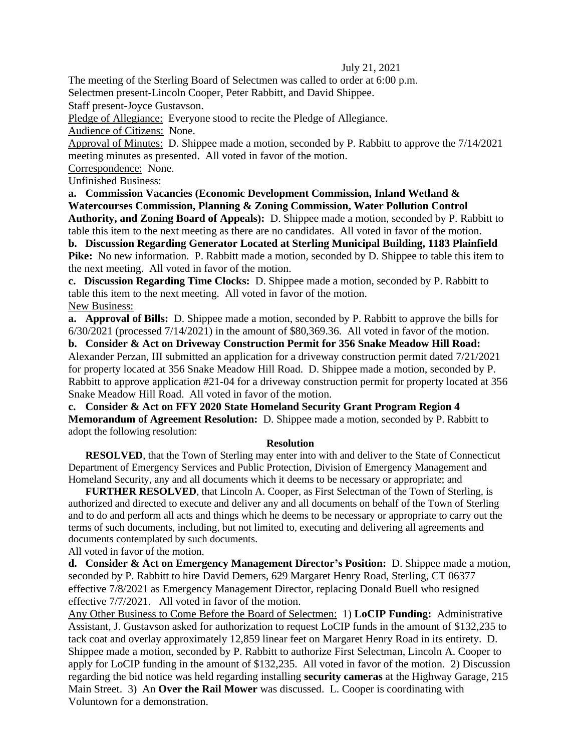## July 21, 2021

The meeting of the Sterling Board of Selectmen was called to order at 6:00 p.m.

Selectmen present-Lincoln Cooper, Peter Rabbitt, and David Shippee.

Staff present-Joyce Gustavson.

Pledge of Allegiance: Everyone stood to recite the Pledge of Allegiance.

Audience of Citizens: None.

Approval of Minutes: D. Shippee made a motion, seconded by P. Rabbitt to approve the 7/14/2021 meeting minutes as presented. All voted in favor of the motion.

Correspondence: None.

Unfinished Business:

**a. Commission Vacancies (Economic Development Commission, Inland Wetland & Watercourses Commission, Planning & Zoning Commission, Water Pollution Control Authority, and Zoning Board of Appeals):** D. Shippee made a motion, seconded by P. Rabbitt to table this item to the next meeting as there are no candidates. All voted in favor of the motion.

**b. Discussion Regarding Generator Located at Sterling Municipal Building, 1183 Plainfield Pike:** No new information. P. Rabbitt made a motion, seconded by D. Shippee to table this item to the next meeting. All voted in favor of the motion.

**c. Discussion Regarding Time Clocks:** D. Shippee made a motion, seconded by P. Rabbitt to table this item to the next meeting. All voted in favor of the motion.

New Business:

**a. Approval of Bills:** D. Shippee made a motion, seconded by P. Rabbitt to approve the bills for 6/30/2021 (processed 7/14/2021) in the amount of \$80,369.36. All voted in favor of the motion.

**b. Consider & Act on Driveway Construction Permit for 356 Snake Meadow Hill Road:**  Alexander Perzan, III submitted an application for a driveway construction permit dated 7/21/2021 for property located at 356 Snake Meadow Hill Road. D. Shippee made a motion, seconded by P. Rabbitt to approve application #21-04 for a driveway construction permit for property located at 356 Snake Meadow Hill Road. All voted in favor of the motion.

**c. Consider & Act on FFY 2020 State Homeland Security Grant Program Region 4 Memorandum of Agreement Resolution:** D. Shippee made a motion, seconded by P. Rabbitt to adopt the following resolution:

## **Resolution**

**RESOLVED**, that the Town of Sterling may enter into with and deliver to the State of Connecticut Department of Emergency Services and Public Protection, Division of Emergency Management and Homeland Security, any and all documents which it deems to be necessary or appropriate; and

**FURTHER RESOLVED**, that Lincoln A. Cooper, as First Selectman of the Town of Sterling, is authorized and directed to execute and deliver any and all documents on behalf of the Town of Sterling and to do and perform all acts and things which he deems to be necessary or appropriate to carry out the terms of such documents, including, but not limited to, executing and delivering all agreements and documents contemplated by such documents.

All voted in favor of the motion.

**d. Consider & Act on Emergency Management Director's Position:** D. Shippee made a motion, seconded by P. Rabbitt to hire David Demers, 629 Margaret Henry Road, Sterling, CT 06377 effective 7/8/2021 as Emergency Management Director, replacing Donald Buell who resigned effective 7/7/2021. All voted in favor of the motion.

Any Other Business to Come Before the Board of Selectmen: 1) **LoCIP Funding:** Administrative Assistant, J. Gustavson asked for authorization to request LoCIP funds in the amount of \$132,235 to tack coat and overlay approximately 12,859 linear feet on Margaret Henry Road in its entirety. D. Shippee made a motion, seconded by P. Rabbitt to authorize First Selectman, Lincoln A. Cooper to apply for LoCIP funding in the amount of \$132,235. All voted in favor of the motion. 2) Discussion regarding the bid notice was held regarding installing **security cameras** at the Highway Garage, 215 Main Street. 3) An **Over the Rail Mower** was discussed. L. Cooper is coordinating with Voluntown for a demonstration.